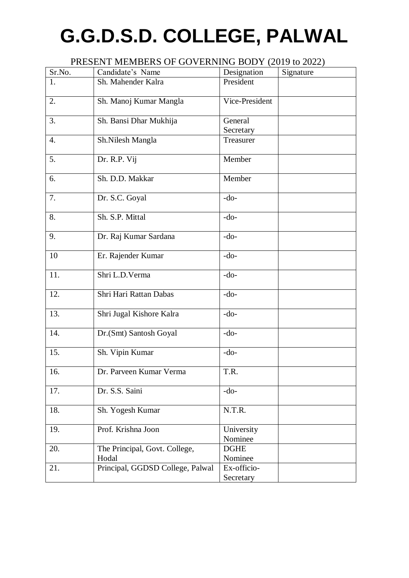# **G.G.D.S.D. COLLEGE, PALWAL**

| PRESENT MEMBERS OF GOVERNING BODY (2019 to 2022) |                                        |                          |           |  |  |
|--------------------------------------------------|----------------------------------------|--------------------------|-----------|--|--|
| Sr.No.                                           | Candidate's Name                       | Designation              | Signature |  |  |
| 1.                                               | Sh. Mahender Kalra                     | President                |           |  |  |
| 2.                                               | Sh. Manoj Kumar Mangla                 | Vice-President           |           |  |  |
| 3.                                               | Sh. Bansi Dhar Mukhija                 | General                  |           |  |  |
|                                                  |                                        | Secretary                |           |  |  |
| 4.                                               | Sh.Nilesh Mangla                       | Treasurer                |           |  |  |
| 5.                                               | Dr. R.P. Vij                           | Member                   |           |  |  |
| 6.                                               | Sh. D.D. Makkar                        | Member                   |           |  |  |
| 7.                                               | Dr. S.C. Goyal                         | $-do-$                   |           |  |  |
| 8.                                               | Sh. S.P. Mittal                        | $-do-$                   |           |  |  |
| 9.                                               | Dr. Raj Kumar Sardana                  | $-do-$                   |           |  |  |
| 10                                               | Er. Rajender Kumar                     | $-do-$                   |           |  |  |
| 11.                                              | Shri L.D.Verma                         | $-do-$                   |           |  |  |
| 12.                                              | Shri Hari Rattan Dabas                 | $-do-$                   |           |  |  |
| 13.                                              | Shri Jugal Kishore Kalra               | $-do-$                   |           |  |  |
| 14.                                              | Dr. (Smt) Santosh Goyal                | $-do-$                   |           |  |  |
| 15.                                              | Sh. Vipin Kumar                        | $-do-$                   |           |  |  |
| 16.                                              | Dr. Parveen Kumar Verma                | T.R.                     |           |  |  |
| 17.                                              | Dr. S.S. Saini                         | $-do-$                   |           |  |  |
| 18.                                              | Sh. Yogesh Kumar                       | N.T.R.                   |           |  |  |
| 19.                                              | Prof. Krishna Joon                     | University<br>Nominee    |           |  |  |
| 20.                                              | The Principal, Govt. College,<br>Hodal | <b>DGHE</b><br>Nominee   |           |  |  |
| 21.                                              | Principal, GGDSD College, Palwal       | Ex-officio-<br>Secretary |           |  |  |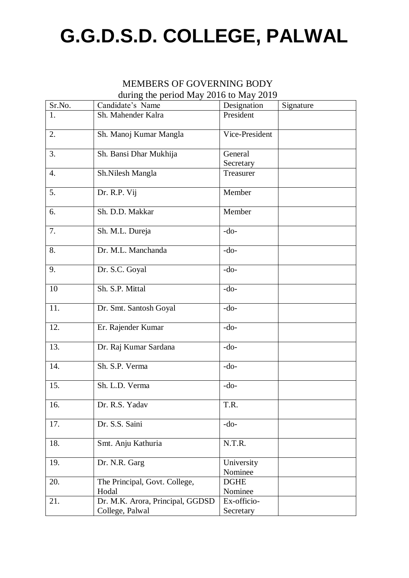### **G.G.D.S.D. COLLEGE, PALWAL**

#### MEMBERS OF GOVERNING BODY during the period May 2016 to May 2019

|                        |                                                                                                                                                                   | Signature                                                                                                         |
|------------------------|-------------------------------------------------------------------------------------------------------------------------------------------------------------------|-------------------------------------------------------------------------------------------------------------------|
|                        |                                                                                                                                                                   |                                                                                                                   |
| Sh. Manoj Kumar Mangla | Vice-President                                                                                                                                                    |                                                                                                                   |
|                        |                                                                                                                                                                   |                                                                                                                   |
|                        |                                                                                                                                                                   |                                                                                                                   |
| Sh.Nilesh Mangla       | Treasurer                                                                                                                                                         |                                                                                                                   |
| Dr. R.P. Vij           | Member                                                                                                                                                            |                                                                                                                   |
| Sh. D.D. Makkar        | Member                                                                                                                                                            |                                                                                                                   |
| Sh. M.L. Dureja        | $-do-$                                                                                                                                                            |                                                                                                                   |
| Dr. M.L. Manchanda     | $-do-$                                                                                                                                                            |                                                                                                                   |
| Dr. S.C. Goyal         | $-do-$                                                                                                                                                            |                                                                                                                   |
| Sh. S.P. Mittal        | $-do-$                                                                                                                                                            |                                                                                                                   |
| Dr. Smt. Santosh Goyal | $-do-$                                                                                                                                                            |                                                                                                                   |
| Er. Rajender Kumar     | $-do-$                                                                                                                                                            |                                                                                                                   |
| Dr. Raj Kumar Sardana  | $-do-$                                                                                                                                                            |                                                                                                                   |
| Sh. S.P. Verma         | $-do-$                                                                                                                                                            |                                                                                                                   |
| Sh. L.D. Verma         | $-do-$                                                                                                                                                            |                                                                                                                   |
| Dr. R.S. Yadav         | T.R.                                                                                                                                                              |                                                                                                                   |
| Dr. S.S. Saini         | $-do-$                                                                                                                                                            |                                                                                                                   |
| Smt. Anju Kathuria     | N.T.R.                                                                                                                                                            |                                                                                                                   |
| Dr. N.R. Garg          | University                                                                                                                                                        |                                                                                                                   |
|                        |                                                                                                                                                                   |                                                                                                                   |
|                        |                                                                                                                                                                   |                                                                                                                   |
|                        |                                                                                                                                                                   |                                                                                                                   |
|                        |                                                                                                                                                                   |                                                                                                                   |
|                        | Candidate's Name<br>Sh. Mahender Kalra<br>Sh. Bansi Dhar Mukhija<br>The Principal, Govt. College,<br>Hodal<br>Dr. M.K. Arora, Principal, GGDSD<br>College, Palwal | Designation<br>President<br>General<br>Secretary<br>Nominee<br><b>DGHE</b><br>Nominee<br>Ex-officio-<br>Secretary |